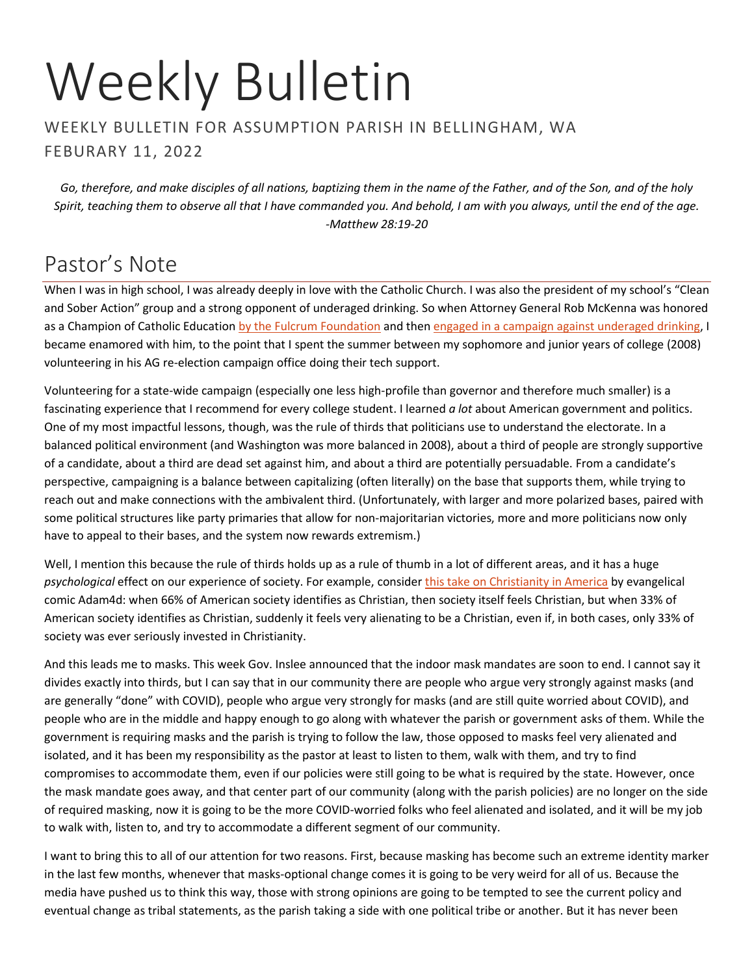# Weekly Bulletin

### WEEKLY BULLETIN FOR ASSUMPTION PARISH IN BELLINGHAM, WA FEBURARY 11, 2022

*Go, therefore, and make disciples of all nations, baptizing them in the name of the Father, and of the Son, and of the holy Spirit, teaching them to observe all that I have commanded you. And behold, I am with you always, until the end of the age. -Matthew 28:19-20*

# Pastor's Note

When I was in high school, I was already deeply in love with the Catholic Church. I was also the president of my school's "Clean and Sober Action" group and a strong opponent of underaged drinking. So when Attorney General Rob McKenna was honored as a Champion of Catholic Educatio[n by the Fulcrum Foundation](https://www.fulcrumfoundation.org/_ui/img/news-files/2005-FF-Annual-Report.pdf) and then [engaged in a campaign against underaged drinking,](https://www.atg.wa.gov/news/news-releases/washington-attorney-general-takes-aim-drunk-driving-and-underage-drinking-radio) I became enamored with him, to the point that I spent the summer between my sophomore and junior years of college (2008) volunteering in his AG re-election campaign office doing their tech support.

Volunteering for a state-wide campaign (especially one less high-profile than governor and therefore much smaller) is a fascinating experience that I recommend for every college student. I learned *a lot* about American government and politics. One of my most impactful lessons, though, was the rule of thirds that politicians use to understand the electorate. In a balanced political environment (and Washington was more balanced in 2008), about a third of people are strongly supportive of a candidate, about a third are dead set against him, and about a third are potentially persuadable. From a candidate's perspective, campaigning is a balance between capitalizing (often literally) on the base that supports them, while trying to reach out and make connections with the ambivalent third. (Unfortunately, with larger and more polarized bases, paired with some political structures like party primaries that allow for non-majoritarian victories, more and more politicians now only have to appeal to their bases, and the system now rewards extremism.)

Well, I mention this because the rule of thirds holds up as a rule of thumb in a lot of different areas, and it has a huge *psychological* effect on our experience of society. For example, consider [this take on Christianity in America](https://adam4d.com/death-of-christianity/) by evangelical comic Adam4d: when 66% of American society identifies as Christian, then society itself feels Christian, but when 33% of American society identifies as Christian, suddenly it feels very alienating to be a Christian, even if, in both cases, only 33% of society was ever seriously invested in Christianity.

And this leads me to masks. This week Gov. Inslee announced that the indoor mask mandates are soon to end. I cannot say it divides exactly into thirds, but I can say that in our community there are people who argue very strongly against masks (and are generally "done" with COVID), people who argue very strongly for masks (and are still quite worried about COVID), and people who are in the middle and happy enough to go along with whatever the parish or government asks of them. While the government is requiring masks and the parish is trying to follow the law, those opposed to masks feel very alienated and isolated, and it has been my responsibility as the pastor at least to listen to them, walk with them, and try to find compromises to accommodate them, even if our policies were still going to be what is required by the state. However, once the mask mandate goes away, and that center part of our community (along with the parish policies) are no longer on the side of required masking, now it is going to be the more COVID-worried folks who feel alienated and isolated, and it will be my job to walk with, listen to, and try to accommodate a different segment of our community.

I want to bring this to all of our attention for two reasons. First, because masking has become such an extreme identity marker in the last few months, whenever that masks-optional change comes it is going to be very weird for all of us. Because the media have pushed us to think this way, those with strong opinions are going to be tempted to see the current policy and eventual change as tribal statements, as the parish taking a side with one political tribe or another. But it has never been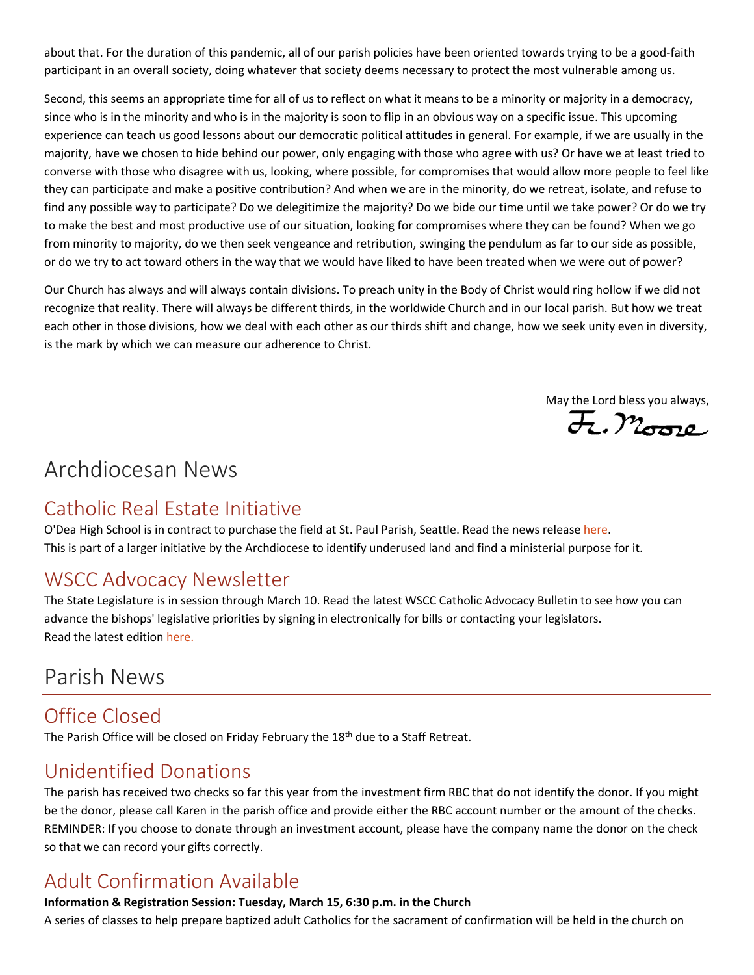about that. For the duration of this pandemic, all of our parish policies have been oriented towards trying to be a good-faith participant in an overall society, doing whatever that society deems necessary to protect the most vulnerable among us.

Second, this seems an appropriate time for all of us to reflect on what it means to be a minority or majority in a democracy, since who is in the minority and who is in the majority is soon to flip in an obvious way on a specific issue. This upcoming experience can teach us good lessons about our democratic political attitudes in general. For example, if we are usually in the majority, have we chosen to hide behind our power, only engaging with those who agree with us? Or have we at least tried to converse with those who disagree with us, looking, where possible, for compromises that would allow more people to feel like they can participate and make a positive contribution? And when we are in the minority, do we retreat, isolate, and refuse to find any possible way to participate? Do we delegitimize the majority? Do we bide our time until we take power? Or do we try to make the best and most productive use of our situation, looking for compromises where they can be found? When we go from minority to majority, do we then seek vengeance and retribution, swinging the pendulum as far to our side as possible, or do we try to act toward others in the way that we would have liked to have been treated when we were out of power?

Our Church has always and will always contain divisions. To preach unity in the Body of Christ would ring hollow if we did not recognize that reality. There will always be different thirds, in the worldwide Church and in our local parish. But how we treat each other in those divisions, how we deal with each other as our thirds shift and change, how we seek unity even in diversity, is the mark by which we can measure our adherence to Christ.

May the Lord bless you always,

F. Moore

## Archdiocesan News

### Catholic Real Estate Initiative

O'Dea High School is in contract to purchase the field at St. Paul Parish, Seattle. Read the news release [here.](https://seattlearch.app.box.com/s/1gm3s4p2ruh5th7mfdgodvlmogc1cc5o) This is part of a larger initiative by the Archdiocese to identify underused land and find a ministerial purpose for it.

### WSCC Advocacy Newsletter

The State Legislature is in session through March 10. Read the latest WSCC Catholic Advocacy Bulletin to see how you can advance the bishops' legislative priorities by signing in electronically for bills or contacting your legislators. Read the latest edition [here.](https://www.votervoice.net/iframes/WSCC/newsletters/43378)

### Parish News

### Office Closed

The Parish Office will be closed on Friday February the 18<sup>th</sup> due to a Staff Retreat.

### Unidentified Donations

The parish has received two checks so far this year from the investment firm RBC that do not identify the donor. If you might be the donor, please call Karen in the parish office and provide either the RBC account number or the amount of the checks. REMINDER: If you choose to donate through an investment account, please have the company name the donor on the check so that we can record your gifts correctly.

## Adult Confirmation Available

#### **Information & Registration Session: Tuesday, March 15, 6:30 p.m. in the Church**

A series of classes to help prepare baptized adult Catholics for the sacrament of confirmation will be held in the church on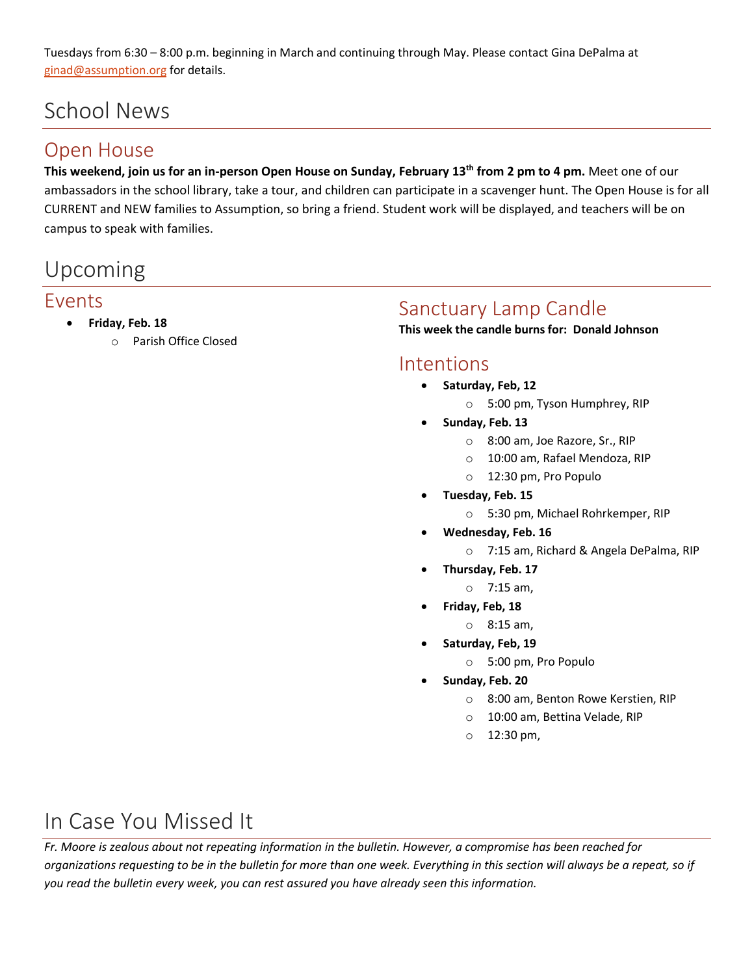Tuesdays from 6:30 – 8:00 p.m. beginning in March and continuing through May. Please contact Gina DePalma at [ginad@assumption.org](mailto:ginad@assumption.org) for details.

# School News

### Open House

**This weekend, join us for an in-person Open House on Sunday, February 13th from 2 pm to 4 pm.** Meet one of our ambassadors in the school library, take a tour, and children can participate in a scavenger hunt. The Open House is for all CURRENT and NEW families to Assumption, so bring a friend. Student work will be displayed, and teachers will be on campus to speak with families.

# Upcoming

### Events

- **Friday, Feb. 18**
	- o Parish Office Closed

### Sanctuary Lamp Candle

**This week the candle burns for: Donald Johnson**

### Intentions

- **Saturday, Feb, 12**
	- o 5:00 pm, Tyson Humphrey, RIP
- **Sunday, Feb. 13**
	- o 8:00 am, Joe Razore, Sr., RIP
	- o 10:00 am, Rafael Mendoza, RIP
	- o 12:30 pm, Pro Populo
- **Tuesday, Feb. 15**
	- o 5:30 pm, Michael Rohrkemper, RIP
- **Wednesday, Feb. 16**
	- o 7:15 am, Richard & Angela DePalma, RIP
- **Thursday, Feb. 17**
	- o 7:15 am,
	- **Friday, Feb, 18**
	- o 8:15 am,
- **Saturday, Feb, 19**
	- o 5:00 pm, Pro Populo
- **Sunday, Feb. 20**
	- o 8:00 am, Benton Rowe Kerstien, RIP
	- o 10:00 am, Bettina Velade, RIP
	- o 12:30 pm,

# In Case You Missed It

*Fr. Moore is zealous about not repeating information in the bulletin. However, a compromise has been reached for organizations requesting to be in the bulletin for more than one week. Everything in this section will always be a repeat, so if you read the bulletin every week, you can rest assured you have already seen this information.*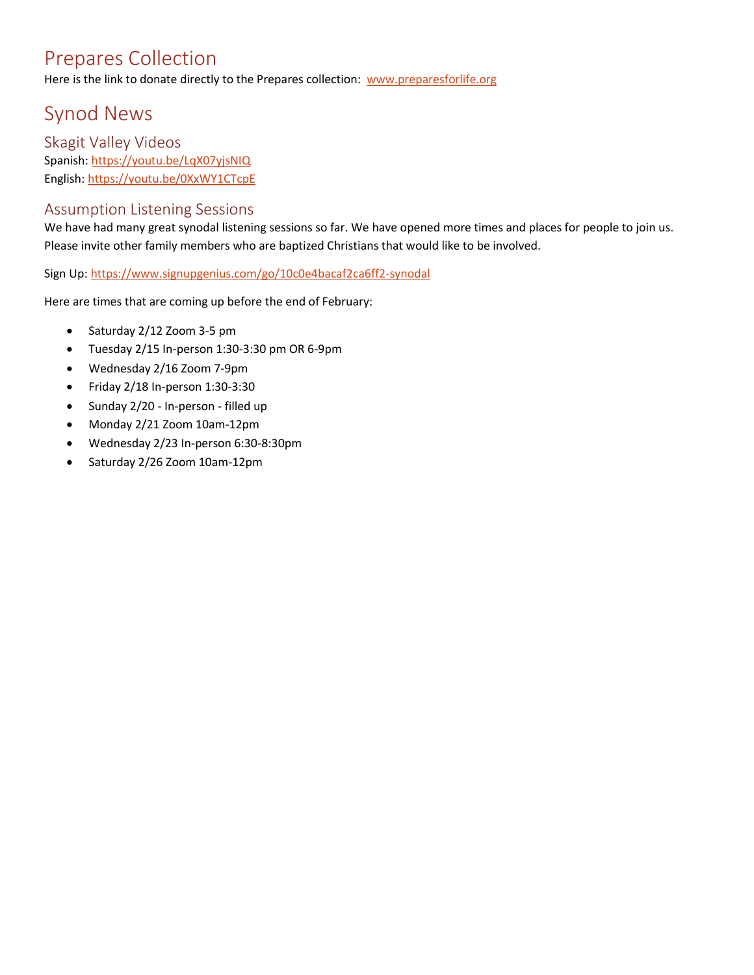## Prepares Collection

Here is the link to donate directly to the Prepares collection: [www.preparesforlife.org](http://www.preparesforlife.org/)

### Synod News

Skagit Valley Videos Spanish:<https://youtu.be/LqX07yjsNIQ> English: [https://youtu.be/0XxWY1CTcpE](https://na01.safelinks.protection.outlook.com/?url=https%3A%2F%2Fyoutu.be%2F0XxWY1CTcpE&data=04%7C01%7C%7C21b4517a64e944a27cde08d9e42afd9f%7C84df9e7fe9f640afb435aaaaaaaaaaaa%7C1%7C0%7C637791695566801075%7CUnknown%7CTWFpbGZsb3d8eyJWIjoiMC4wLjAwMDAiLCJQIjoiV2luMzIiLCJBTiI6Ik1haWwiLCJXVCI6Mn0%3D%7C3000&sdata=utrq8MaZXs7mW82I388aWfAat4Cwncf9Mpz4q%2B2yUq8%3D&reserved=0)

### Assumption Listening Sessions

We have had many great synodal listening sessions so far. We have opened more times and places for people to join us. Please invite other family members who are baptized Christians that would like to be involved.

Sign Up[: https://www.signupgenius.com/go/10c0e4bacaf2ca6ff2-synodal](https://www.signupgenius.com/go/10c0e4bacaf2ca6ff2-synodal)

Here are times that are coming up before the end of February:

- Saturday 2/12 Zoom 3-5 pm
- Tuesday 2/15 In-person 1:30-3:30 pm OR 6-9pm
- Wednesday 2/16 Zoom 7-9pm
- Friday 2/18 In-person 1:30-3:30
- Sunday 2/20 In-person filled up
- Monday 2/21 Zoom 10am-12pm
- Wednesday 2/23 In-person 6:30-8:30pm
- Saturday 2/26 Zoom 10am-12pm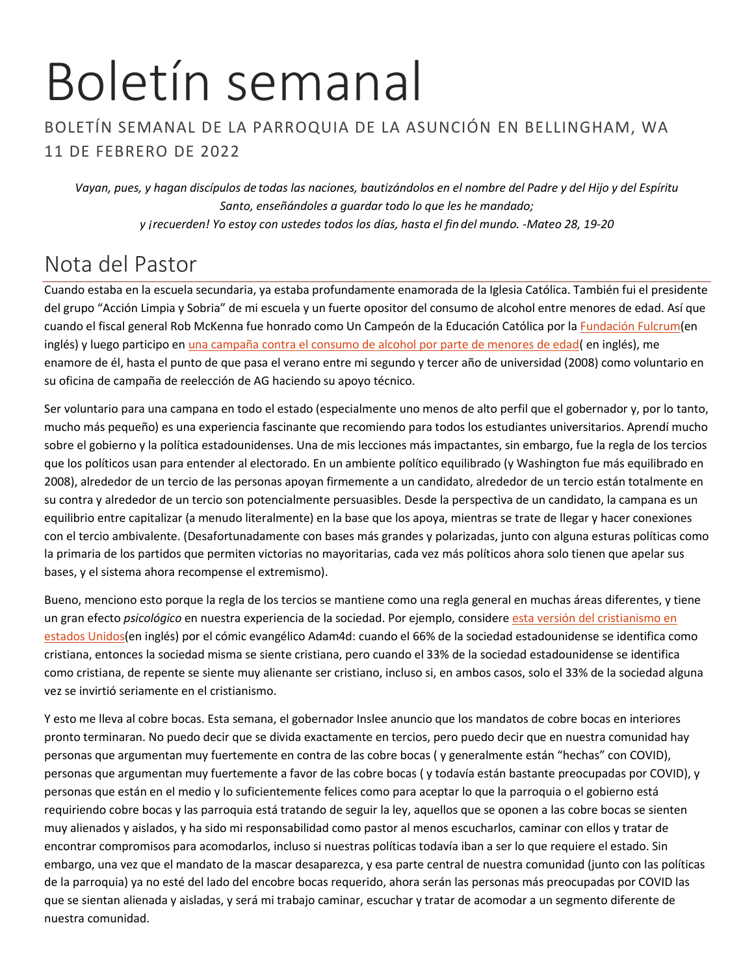# Boletín semanal

### BOLETÍN SEMANAL DE LA PARROQUIA DE LA ASUNCIÓN EN BELLINGHAM, WA 11 DE FEBRERO DE 2022

*Vayan, pues, y hagan discípulos de todas las naciones, bautizándolos en el nombre del Padre y del Hijo y del Espíritu Santo, enseñándoles a guardar todo lo que les he mandado; y ¡recuerden! Yo estoy con ustedes todos los días, hasta el fin del mundo. -Mateo 28, 19-20*

# Nota del Pastor

Cuando estaba en la escuela secundaria, ya estaba profundamente enamorada de la Iglesia Católica. También fui el presidente del grupo "Acción Limpia y Sobria" de mi escuela y un fuerte opositor del consumo de alcohol entre menores de edad. Así que cuando el fiscal general Rob McKenna fue honrado como Un Campeón de la Educación Católica por la [Fundación](https://www.fulcrumfoundation.org/_ui/img/news-files/2005-FF-Annual-Report.pdf) Fulcrum(en inglés) y luego participo en una campaña [contra el consumo de alcohol por parte de menores de edad\(](https://www.atg.wa.gov/news/news-releases/washington-attorney-general-takes-aim-drunk-driving-and-underage-drinking-radio) en inglés), me enamore de él, hasta el punto de que pasa el verano entre mi segundo y tercer año de universidad (2008) como voluntario en su oficina de campaña de reelección de AG haciendo su apoyo técnico.

Ser voluntario para una campana en todo el estado (especialmente uno menos de alto perfil que el gobernador y, por lo tanto, mucho más pequeño) es una experiencia fascinante que recomiendo para todos los estudiantes universitarios. Aprendí mucho sobre el gobierno y la política estadounidenses. Una de mis lecciones más impactantes, sin embargo, fue la regla de los tercios que los políticos usan para entender al electorado. En un ambiente político equilibrado (y Washington fue más equilibrado en 2008), alrededor de un tercio de las personas apoyan firmemente a un candidato, alrededor de un tercio están totalmente en su contra y alrededor de un tercio son potencialmente persuasibles. Desde la perspectiva de un candidato, la campana es un equilibrio entre capitalizar (a menudo literalmente) en la base que los apoya, mientras se trate de llegar y hacer conexiones con el tercio ambivalente. (Desafortunadamente con bases más grandes y polarizadas, junto con alguna esturas políticas como la primaria de los partidos que permiten victorias no mayoritarias, cada vez más políticos ahora solo tienen que apelar sus bases, y el sistema ahora recompense el extremismo).

Bueno, menciono esto porque la regla de los tercios se mantiene como una regla general en muchas áreas diferentes, y tiene un gran efecto *psicológico* en nuestra experiencia de la sociedad. Por ejemplo, considere [esta versión del cristianismo en](https://adam4d.com/death-of-christianity/)  [estados Unidos\(](https://adam4d.com/death-of-christianity/)en inglés) por el cómic evangélico Adam4d: cuando el 66% de la sociedad estadounidense se identifica como cristiana, entonces la sociedad misma se siente cristiana, pero cuando el 33% de la sociedad estadounidense se identifica como cristiana, de repente se siente muy alienante ser cristiano, incluso si, en ambos casos, solo el 33% de la sociedad alguna vez se invirtió seriamente en el cristianismo.

Y esto me lleva al cobre bocas. Esta semana, el gobernador Inslee anuncio que los mandatos de cobre bocas en interiores pronto terminaran. No puedo decir que se divida exactamente en tercios, pero puedo decir que en nuestra comunidad hay personas que argumentan muy fuertemente en contra de las cobre bocas ( y generalmente están "hechas" con COVID), personas que argumentan muy fuertemente a favor de las cobre bocas ( y todavía están bastante preocupadas por COVID), y personas que están en el medio y lo suficientemente felices como para aceptar lo que la parroquia o el gobierno está requiriendo cobre bocas y las parroquia está tratando de seguir la ley, aquellos que se oponen a las cobre bocas se sienten muy alienados y aislados, y ha sido mi responsabilidad como pastor al menos escucharlos, caminar con ellos y tratar de encontrar compromisos para acomodarlos, incluso si nuestras políticas todavía iban a ser lo que requiere el estado. Sin embargo, una vez que el mandato de la mascar desaparezca, y esa parte central de nuestra comunidad (junto con las políticas de la parroquia) ya no esté del lado del encobre bocas requerido, ahora serán las personas más preocupadas por COVID las que se sientan alienada y aisladas, y será mi trabajo caminar, escuchar y tratar de acomodar a un segmento diferente de nuestra comunidad.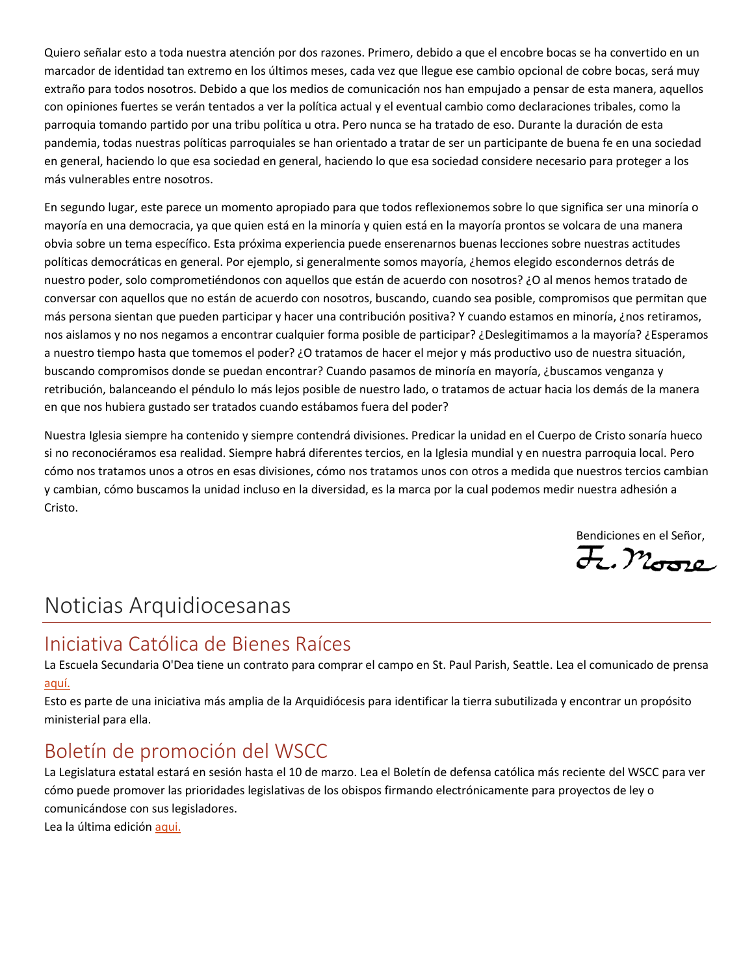Quiero señalar esto a toda nuestra atención por dos razones. Primero, debido a que el encobre bocas se ha convertido en un marcador de identidad tan extremo en los últimos meses, cada vez que llegue ese cambio opcional de cobre bocas, será muy extraño para todos nosotros. Debido a que los medios de comunicación nos han empujado a pensar de esta manera, aquellos con opiniones fuertes se verán tentados a ver la política actual y el eventual cambio como declaraciones tribales, como la parroquia tomando partido por una tribu política u otra. Pero nunca se ha tratado de eso. Durante la duración de esta pandemia, todas nuestras políticas parroquiales se han orientado a tratar de ser un participante de buena fe en una sociedad en general, haciendo lo que esa sociedad en general, haciendo lo que esa sociedad considere necesario para proteger a los más vulnerables entre nosotros.

En segundo lugar, este parece un momento apropiado para que todos reflexionemos sobre lo que significa ser una minoría o mayoría en una democracia, ya que quien está en la minoría y quien está en la mayoría prontos se volcara de una manera obvia sobre un tema específico. Esta próxima experiencia puede enserenarnos buenas lecciones sobre nuestras actitudes políticas democráticas en general. Por ejemplo, si generalmente somos mayoría, ¿hemos elegido escondernos detrás de nuestro poder, solo comprometiéndonos con aquellos que están de acuerdo con nosotros? ¿O al menos hemos tratado de conversar con aquellos que no están de acuerdo con nosotros, buscando, cuando sea posible, compromisos que permitan que más persona sientan que pueden participar y hacer una contribución positiva? Y cuando estamos en minoría, ¿nos retiramos, nos aislamos y no nos negamos a encontrar cualquier forma posible de participar? ¿Deslegitimamos a la mayoría? ¿Esperamos a nuestro tiempo hasta que tomemos el poder? ¿O tratamos de hacer el mejor y más productivo uso de nuestra situación, buscando compromisos donde se puedan encontrar? Cuando pasamos de minoría en mayoría, ¿buscamos venganza y retribución, balanceando el péndulo lo más lejos posible de nuestro lado, o tratamos de actuar hacia los demás de la manera en que nos hubiera gustado ser tratados cuando estábamos fuera del poder?

Nuestra Iglesia siempre ha contenido y siempre contendrá divisiones. Predicar la unidad en el Cuerpo de Cristo sonaría hueco si no reconociéramos esa realidad. Siempre habrá diferentes tercios, en la Iglesia mundial y en nuestra parroquia local. Pero cómo nos tratamos unos a otros en esas divisiones, cómo nos tratamos unos con otros a medida que nuestros tercios cambian y cambian, cómo buscamos la unidad incluso en la diversidad, es la marca por la cual podemos medir nuestra adhesión a Cristo.

Bendiciones en el Señor,<br><del>J</del>., Monne

## Noticias Arquidiocesanas

### Iniciativa Católica de Bienes Raíces

La Escuela Secundaria O'Dea tiene un contrato para comprar el campo en St. Paul Parish, Seattle. Lea el comunicado de prensa [aquí.](https://seattlearch.app.box.com/s/l9o8ttzypynthxv9ki62n0fa6bce5n4u)

Esto es parte de una iniciativa más amplia de la Arquidiócesis para identificar la tierra subutilizada y encontrar un propósito ministerial para ella.

### Boletín de promoción del WSCC

La Legislatura estatal estará en sesión hasta el 10 de marzo. Lea el Boletín de defensa católica más reciente del WSCC para ver cómo puede promover las prioridades legislativas de los obispos firmando electrónicamente para proyectos de ley o comunicándose con sus legisladores.

Lea la última edición [aqui.](https://www-votervoice-net.translate.goog/iframes/WSCC/newsletters/43225?_x_tr_sl=auto&_x_tr_tl=es&_x_tr_hl=en-US)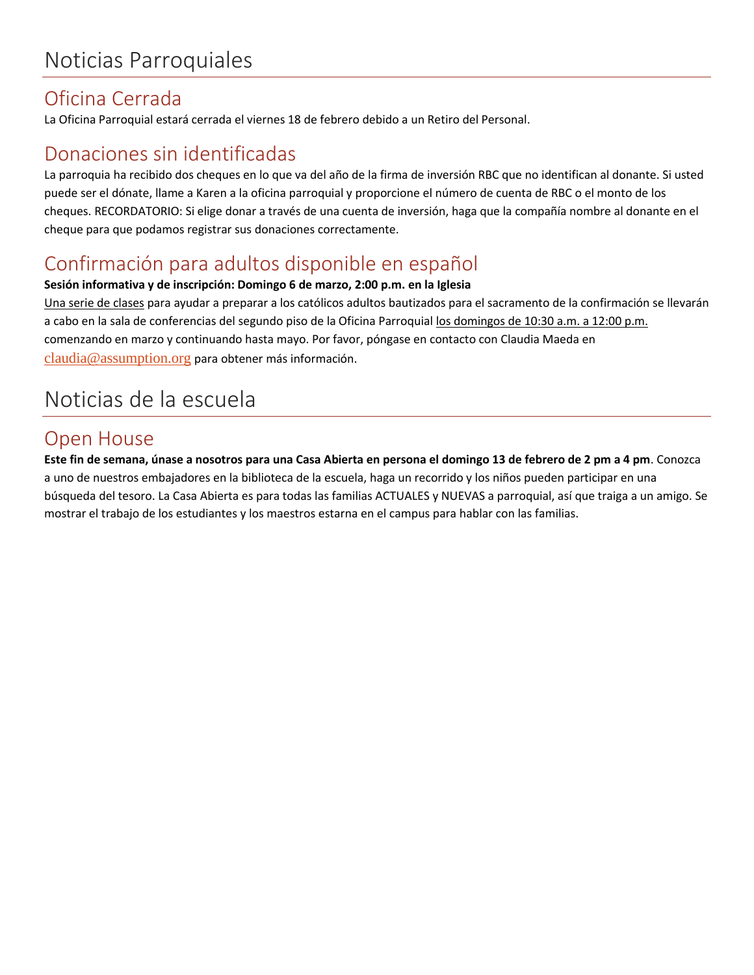### Oficina Cerrada

La Oficina Parroquial estará cerrada el viernes 18 de febrero debido a un Retiro del Personal.

### Donaciones sin identificadas

La parroquia ha recibido dos cheques en lo que va del año de la firma de inversión RBC que no identifican al donante. Si usted puede ser el dónate, llame a Karen a la oficina parroquial y proporcione el número de cuenta de RBC o el monto de los cheques. RECORDATORIO: Si elige donar a través de una cuenta de inversión, haga que la compañía nombre al donante en el cheque para que podamos registrar sus donaciones correctamente.

## Confirmación para adultos disponible en español

#### **Sesión informativa y de inscripción: Domingo 6 de marzo, 2:00 p.m. en la Iglesia**

Una serie de clases para ayudar a preparar a los católicos adultos bautizados para el sacramento de la confirmación se llevarán a cabo en la sala de conferencias del segundo piso de la Oficina Parroquial los domingos de 10:30 a.m. a 12:00 p.m. comenzando en marzo y continuando hasta mayo. Por favor, póngase en contacto con Claudia Maeda en [claudia@assumption.org](mailto:claudia@assumption.org) para obtener más información.

# Noticias de la escuela

## Open House

**Este fin de semana, únase a nosotros para una Casa Abierta en persona el domingo 13 de febrero de 2 pm a 4 pm**. Conozca a uno de nuestros embajadores en la biblioteca de la escuela, haga un recorrido y los niños pueden participar en una búsqueda del tesoro. La Casa Abierta es para todas las familias ACTUALES y NUEVAS a parroquial, así que traiga a un amigo. Se mostrar el trabajo de los estudiantes y los maestros estarna en el campus para hablar con las familias.